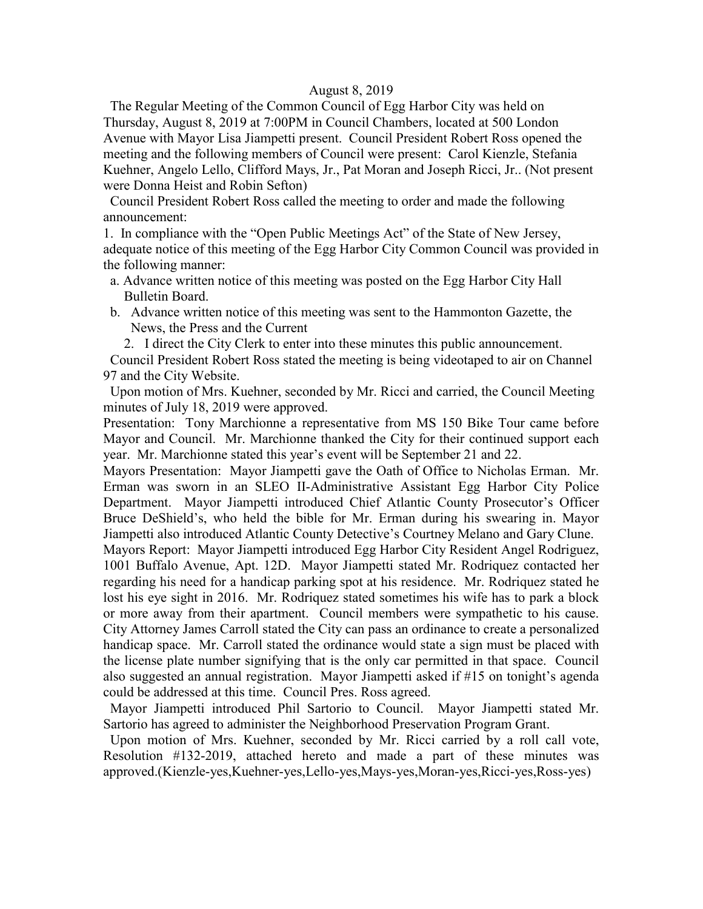#### August 8, 2019

 The Regular Meeting of the Common Council of Egg Harbor City was held on Thursday, August 8, 2019 at 7:00PM in Council Chambers, located at 500 London Avenue with Mayor Lisa Jiampetti present. Council President Robert Ross opened the meeting and the following members of Council were present: Carol Kienzle, Stefania Kuehner, Angelo Lello, Clifford Mays, Jr., Pat Moran and Joseph Ricci, Jr.. (Not present were Donna Heist and Robin Sefton)

 Council President Robert Ross called the meeting to order and made the following announcement:

1. In compliance with the "Open Public Meetings Act" of the State of New Jersey, adequate notice of this meeting of the Egg Harbor City Common Council was provided in the following manner:

- a. Advance written notice of this meeting was posted on the Egg Harbor City Hall Bulletin Board.
- b. Advance written notice of this meeting was sent to the Hammonton Gazette, the News, the Press and the Current

2. I direct the City Clerk to enter into these minutes this public announcement.

 Council President Robert Ross stated the meeting is being videotaped to air on Channel 97 and the City Website.

 Upon motion of Mrs. Kuehner, seconded by Mr. Ricci and carried, the Council Meeting minutes of July 18, 2019 were approved.

Presentation: Tony Marchionne a representative from MS 150 Bike Tour came before Mayor and Council. Mr. Marchionne thanked the City for their continued support each year. Mr. Marchionne stated this year's event will be September 21 and 22.

Mayors Presentation: Mayor Jiampetti gave the Oath of Office to Nicholas Erman. Mr. Erman was sworn in an SLEO II-Administrative Assistant Egg Harbor City Police Department. Mayor Jiampetti introduced Chief Atlantic County Prosecutor's Officer Bruce DeShield's, who held the bible for Mr. Erman during his swearing in. Mayor Jiampetti also introduced Atlantic County Detective's Courtney Melano and Gary Clune.

Mayors Report: Mayor Jiampetti introduced Egg Harbor City Resident Angel Rodriguez, 1001 Buffalo Avenue, Apt. 12D. Mayor Jiampetti stated Mr. Rodriquez contacted her regarding his need for a handicap parking spot at his residence. Mr. Rodriquez stated he lost his eye sight in 2016. Mr. Rodriquez stated sometimes his wife has to park a block or more away from their apartment. Council members were sympathetic to his cause. City Attorney James Carroll stated the City can pass an ordinance to create a personalized handicap space. Mr. Carroll stated the ordinance would state a sign must be placed with the license plate number signifying that is the only car permitted in that space. Council also suggested an annual registration. Mayor Jiampetti asked if #15 on tonight's agenda could be addressed at this time. Council Pres. Ross agreed.

 Mayor Jiampetti introduced Phil Sartorio to Council. Mayor Jiampetti stated Mr. Sartorio has agreed to administer the Neighborhood Preservation Program Grant.

 Upon motion of Mrs. Kuehner, seconded by Mr. Ricci carried by a roll call vote, Resolution #132-2019, attached hereto and made a part of these minutes was approved.(Kienzle-yes,Kuehner-yes,Lello-yes,Mays-yes,Moran-yes,Ricci-yes,Ross-yes)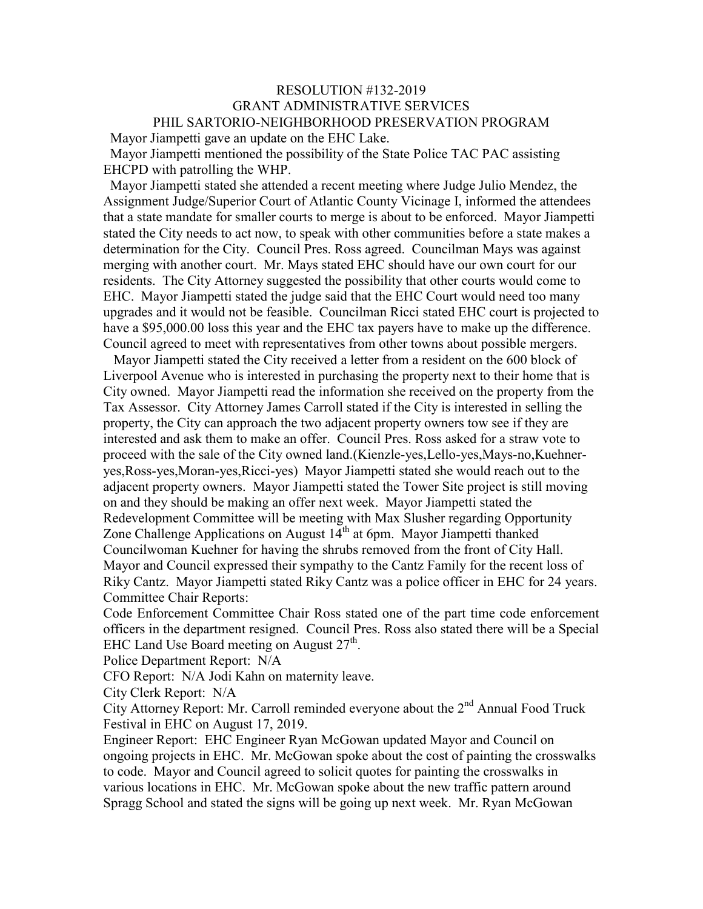## RESOLUTION #132-2019 GRANT ADMINISTRATIVE SERVICES PHIL SARTORIO-NEIGHBORHOOD PRESERVATION PROGRAM

 Mayor Jiampetti gave an update on the EHC Lake. Mayor Jiampetti mentioned the possibility of the State Police TAC PAC assisting

EHCPD with patrolling the WHP.

 Mayor Jiampetti stated she attended a recent meeting where Judge Julio Mendez, the Assignment Judge/Superior Court of Atlantic County Vicinage I, informed the attendees that a state mandate for smaller courts to merge is about to be enforced. Mayor Jiampetti stated the City needs to act now, to speak with other communities before a state makes a determination for the City. Council Pres. Ross agreed. Councilman Mays was against merging with another court. Mr. Mays stated EHC should have our own court for our residents. The City Attorney suggested the possibility that other courts would come to EHC. Mayor Jiampetti stated the judge said that the EHC Court would need too many upgrades and it would not be feasible. Councilman Ricci stated EHC court is projected to have a \$95,000.00 loss this year and the EHC tax payers have to make up the difference. Council agreed to meet with representatives from other towns about possible mergers.

 Mayor Jiampetti stated the City received a letter from a resident on the 600 block of Liverpool Avenue who is interested in purchasing the property next to their home that is City owned. Mayor Jiampetti read the information she received on the property from the Tax Assessor. City Attorney James Carroll stated if the City is interested in selling the property, the City can approach the two adjacent property owners tow see if they are interested and ask them to make an offer. Council Pres. Ross asked for a straw vote to proceed with the sale of the City owned land.(Kienzle-yes,Lello-yes,Mays-no,Kuehneryes,Ross-yes,Moran-yes,Ricci-yes) Mayor Jiampetti stated she would reach out to the adjacent property owners. Mayor Jiampetti stated the Tower Site project is still moving on and they should be making an offer next week. Mayor Jiampetti stated the Redevelopment Committee will be meeting with Max Slusher regarding Opportunity Zone Challenge Applications on August  $14<sup>th</sup>$  at 6pm. Mayor Jiampetti thanked Councilwoman Kuehner for having the shrubs removed from the front of City Hall. Mayor and Council expressed their sympathy to the Cantz Family for the recent loss of Riky Cantz. Mayor Jiampetti stated Riky Cantz was a police officer in EHC for 24 years. Committee Chair Reports:

Code Enforcement Committee Chair Ross stated one of the part time code enforcement officers in the department resigned. Council Pres. Ross also stated there will be a Special EHC Land Use Board meeting on August  $27<sup>th</sup>$ .

Police Department Report: N/A

CFO Report: N/A Jodi Kahn on maternity leave.

City Clerk Report: N/A

City Attorney Report: Mr. Carroll reminded everyone about the  $2<sup>nd</sup>$  Annual Food Truck Festival in EHC on August 17, 2019.

Engineer Report: EHC Engineer Ryan McGowan updated Mayor and Council on ongoing projects in EHC. Mr. McGowan spoke about the cost of painting the crosswalks to code. Mayor and Council agreed to solicit quotes for painting the crosswalks in various locations in EHC. Mr. McGowan spoke about the new traffic pattern around Spragg School and stated the signs will be going up next week. Mr. Ryan McGowan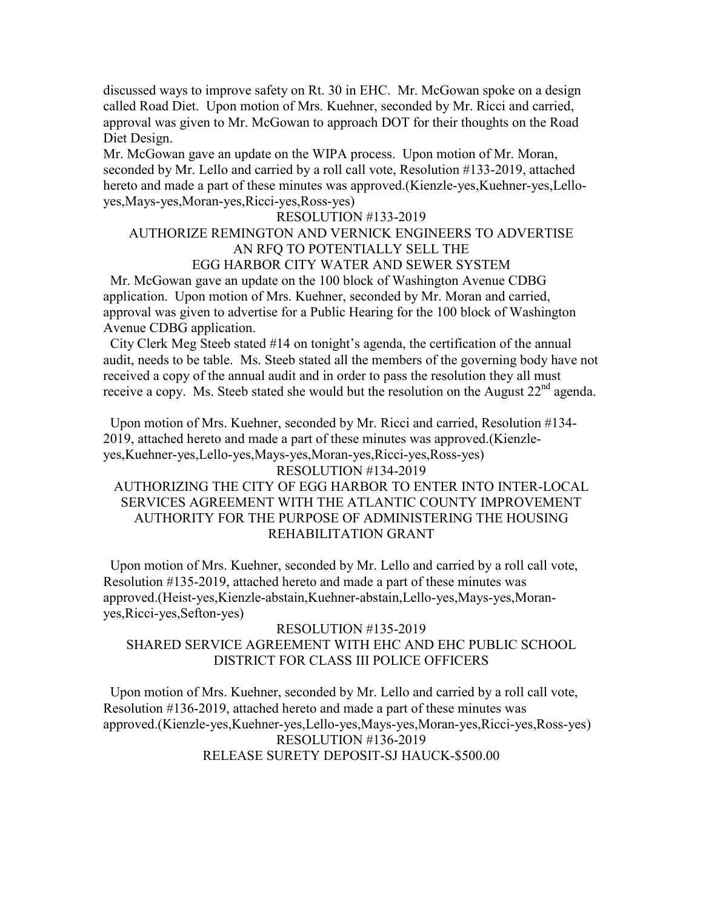discussed ways to improve safety on Rt. 30 in EHC. Mr. McGowan spoke on a design called Road Diet. Upon motion of Mrs. Kuehner, seconded by Mr. Ricci and carried, approval was given to Mr. McGowan to approach DOT for their thoughts on the Road Diet Design.

Mr. McGowan gave an update on the WIPA process. Upon motion of Mr. Moran, seconded by Mr. Lello and carried by a roll call vote, Resolution #133-2019, attached hereto and made a part of these minutes was approved.(Kienzle-yes,Kuehner-yes,Lelloyes,Mays-yes,Moran-yes,Ricci-yes,Ross-yes)

#### RESOLUTION #133-2019

# AUTHORIZE REMINGTON AND VERNICK ENGINEERS TO ADVERTISE AN RFQ TO POTENTIALLY SELL THE

### EGG HARBOR CITY WATER AND SEWER SYSTEM

 Mr. McGowan gave an update on the 100 block of Washington Avenue CDBG application. Upon motion of Mrs. Kuehner, seconded by Mr. Moran and carried, approval was given to advertise for a Public Hearing for the 100 block of Washington Avenue CDBG application.

 City Clerk Meg Steeb stated #14 on tonight's agenda, the certification of the annual audit, needs to be table. Ms. Steeb stated all the members of the governing body have not received a copy of the annual audit and in order to pass the resolution they all must receive a copy. Ms. Steeb stated she would but the resolution on the August  $22<sup>nd</sup>$  agenda.

 Upon motion of Mrs. Kuehner, seconded by Mr. Ricci and carried, Resolution #134- 2019, attached hereto and made a part of these minutes was approved.(Kienzleyes,Kuehner-yes,Lello-yes,Mays-yes,Moran-yes,Ricci-yes,Ross-yes)

#### RESOLUTION #134-2019

### AUTHORIZING THE CITY OF EGG HARBOR TO ENTER INTO INTER-LOCAL SERVICES AGREEMENT WITH THE ATLANTIC COUNTY IMPROVEMENT AUTHORITY FOR THE PURPOSE OF ADMINISTERING THE HOUSING REHABILITATION GRANT

 Upon motion of Mrs. Kuehner, seconded by Mr. Lello and carried by a roll call vote, Resolution #135-2019, attached hereto and made a part of these minutes was approved.(Heist-yes,Kienzle-abstain,Kuehner-abstain,Lello-yes,Mays-yes,Moranyes,Ricci-yes,Sefton-yes)

### RESOLUTION #135-2019 SHARED SERVICE AGREEMENT WITH EHC AND EHC PUBLIC SCHOOL DISTRICT FOR CLASS III POLICE OFFICERS

 Upon motion of Mrs. Kuehner, seconded by Mr. Lello and carried by a roll call vote, Resolution #136-2019, attached hereto and made a part of these minutes was approved.(Kienzle-yes,Kuehner-yes,Lello-yes,Mays-yes,Moran-yes,Ricci-yes,Ross-yes) RESOLUTION #136-2019 RELEASE SURETY DEPOSIT-SJ HAUCK-\$500.00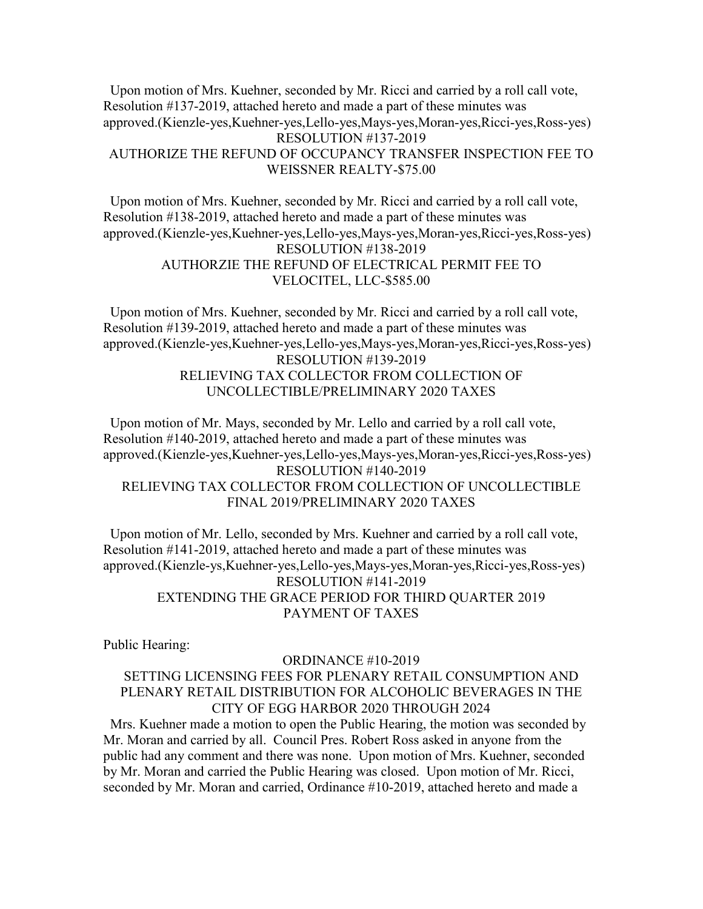Upon motion of Mrs. Kuehner, seconded by Mr. Ricci and carried by a roll call vote, Resolution #137-2019, attached hereto and made a part of these minutes was approved.(Kienzle-yes,Kuehner-yes,Lello-yes,Mays-yes,Moran-yes,Ricci-yes,Ross-yes) RESOLUTION #137-2019 AUTHORIZE THE REFUND OF OCCUPANCY TRANSFER INSPECTION FEE TO WEISSNER REALTY-\$75.00

 Upon motion of Mrs. Kuehner, seconded by Mr. Ricci and carried by a roll call vote, Resolution #138-2019, attached hereto and made a part of these minutes was approved.(Kienzle-yes,Kuehner-yes,Lello-yes,Mays-yes,Moran-yes,Ricci-yes,Ross-yes) RESOLUTION #138-2019 AUTHORZIE THE REFUND OF ELECTRICAL PERMIT FEE TO VELOCITEL, LLC-\$585.00

 Upon motion of Mrs. Kuehner, seconded by Mr. Ricci and carried by a roll call vote, Resolution #139-2019, attached hereto and made a part of these minutes was approved.(Kienzle-yes,Kuehner-yes,Lello-yes,Mays-yes,Moran-yes,Ricci-yes,Ross-yes) RESOLUTION #139-2019 RELIEVING TAX COLLECTOR FROM COLLECTION OF UNCOLLECTIBLE/PRELIMINARY 2020 TAXES

 Upon motion of Mr. Mays, seconded by Mr. Lello and carried by a roll call vote, Resolution #140-2019, attached hereto and made a part of these minutes was approved.(Kienzle-yes,Kuehner-yes,Lello-yes,Mays-yes,Moran-yes,Ricci-yes,Ross-yes) RESOLUTION #140-2019 RELIEVING TAX COLLECTOR FROM COLLECTION OF UNCOLLECTIBLE FINAL 2019/PRELIMINARY 2020 TAXES

 Upon motion of Mr. Lello, seconded by Mrs. Kuehner and carried by a roll call vote, Resolution #141-2019, attached hereto and made a part of these minutes was approved.(Kienzle-ys,Kuehner-yes,Lello-yes,Mays-yes,Moran-yes,Ricci-yes,Ross-yes) RESOLUTION #141-2019 EXTENDING THE GRACE PERIOD FOR THIRD QUARTER 2019 PAYMENT OF TAXES

Public Hearing:

#### ORDINANCE #10-2019

### SETTING LICENSING FEES FOR PLENARY RETAIL CONSUMPTION AND PLENARY RETAIL DISTRIBUTION FOR ALCOHOLIC BEVERAGES IN THE CITY OF EGG HARBOR 2020 THROUGH 2024

 Mrs. Kuehner made a motion to open the Public Hearing, the motion was seconded by Mr. Moran and carried by all. Council Pres. Robert Ross asked in anyone from the public had any comment and there was none. Upon motion of Mrs. Kuehner, seconded by Mr. Moran and carried the Public Hearing was closed. Upon motion of Mr. Ricci, seconded by Mr. Moran and carried, Ordinance #10-2019, attached hereto and made a